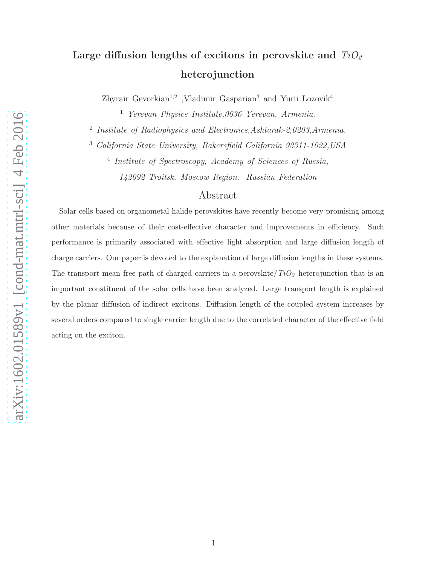# Large diffusion lengths of excitons in perovskite and  $TiO<sub>2</sub>$ heterojunction

Zhyrair Gevorkian<sup>1,2</sup> ,Vladimir Gasparian<sup>3</sup> and Yurii Lozovik<sup>4</sup>

<sup>1</sup> Yerevan Physics Institute,0036 Yerevan, Armenia.

<sup>2</sup> Institute of Radiophysics and Electronics, Ashtarak-2,0203, Armenia.

<sup>3</sup> California State University, Bakersfield California 93311-1022,USA

4 Institute of Spectroscopy, Academy of Sciences of Russia, 142092 Troitsk, Moscow Region. Russian Federation

## Abstract

Solar cells based on organometal halide perovskites have recently become very promising among other materials because of their cost-effective character and improvements in efficiency. Such performance is primarily associated with effective light absorption and large diffusion length of charge carriers. Our paper is devoted to the explanation of large diffusion lengths in these systems. The transport mean free path of charged carriers in a perovskite/ $TiO<sub>2</sub>$  heterojunction that is an important constituent of the solar cells have been analyzed. Large transport length is explained by the planar diffusion of indirect excitons. Diffusion length of the coupled system increases by several orders compared to single carrier length due to the correlated character of the effective field acting on the exciton.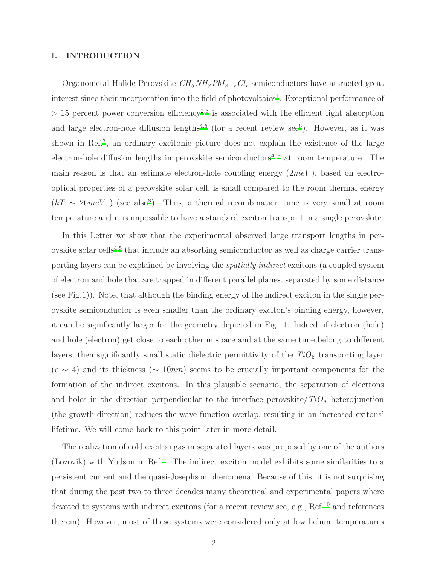#### I. INTRODUCTION

Organometal Halide Perovskite  $CH_3NH_3PbI_{3-x}Cl_x$  semiconductors have attracted great interest since their incorporation into the field of photovoltaics<sup>[1](#page-6-0)</sup>. Exceptional performance of  $> 15$  percent power conversion efficiency<sup>[2](#page-6-1)[,3](#page-6-2)</sup> is associated with the efficient light absorption and large electron-hole diffusion lengths<sup> $4,5$  $4,5$ </sup> (for a recent review see<sup>[6](#page-6-5)</sup>). However, as it was shown in Ref.<sup>[7](#page-6-6)</sup>, an ordinary excitonic picture does not explain the existence of the large electron-hole diffusion lengths in perovskite semiconductors<sup> $4-6$  $4-6$ </sup> at room temperature. The main reason is that an estimate electron-hole coupling energy  $(2meV)$ , based on electrooptical properties of a perovskite solar cell, is small compared to the room thermal energy  $(kT \sim 26meV)$  (see also<sup>[8](#page-6-7)</sup>). Thus, a thermal recombination time is very small at room temperature and it is impossible to have a standard exciton transport in a single perovskite.

In this Letter we show that the experimental observed large transport lengths in per-ovskite solar cells<sup>[4](#page-6-3)[,5](#page-6-4)</sup> that include an absorbing semiconductor as well as charge carrier transporting layers can be explained by involving the spatially indirect excitons (a coupled system of electron and hole that are trapped in different parallel planes, separated by some distance (see Fig.1)). Note, that although the binding energy of the indirect exciton in the single perovskite semiconductor is even smaller than the ordinary exciton's binding energy, however, it can be significantly larger for the geometry depicted in Fig. 1. Indeed, if electron (hole) and hole (electron) get close to each other in space and at the same time belong to different layers, then significantly small static dielectric permittivity of the  $TiO<sub>2</sub>$  transporting layer  $(\epsilon \sim 4)$  and its thickness ( $\sim 10nm$ ) seems to be crucially important components for the formation of the indirect excitons. In this plausible scenario, the separation of electrons and holes in the direction perpendicular to the interface perovskite  $TiO<sub>2</sub>$  heterojunction (the growth direction) reduces the wave function overlap, resulting in an increased exitons' lifetime. We will come back to this point later in more detail.

The realization of cold exciton gas in separated layers was proposed by one of the authors (Lozovik) with Yudson in Ref.<sup>[9](#page-7-0)</sup>. The indirect exciton model exhibits some similarities to a persistent current and the quasi-Josephson phenomena. Because of this, it is not surprising that during the past two to three decades many theoretical and experimental papers where devoted to systems with indirect excitons (for a recent review see, e.g., Ref.<sup>[10](#page-7-1)</sup> and references therein). However, most of these systems were considered only at low helium temperatures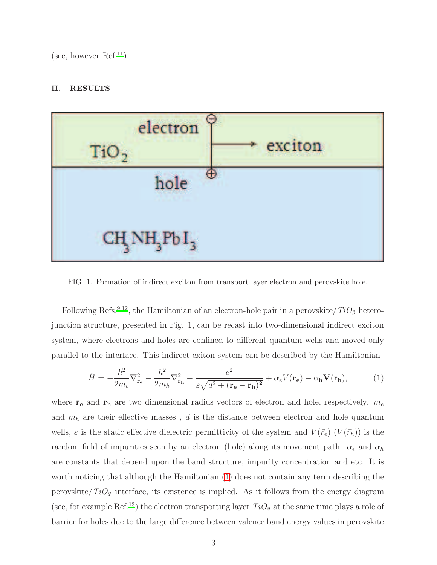(see, however  $Ref.<sup>11</sup>$  $Ref.<sup>11</sup>$  $Ref.<sup>11</sup>$ ).

### II. RESULTS



FIG. 1. Formation of indirect exciton from transport layer electron and perovskite hole.

Following Refs.<sup>[9](#page-7-0)[,12](#page-7-3)</sup>, the Hamiltonian of an electron-hole pair in a perovskite/ $TiO<sub>2</sub>$  heterojunction structure, presented in Fig. 1, can be recast into two-dimensional indirect exciton system, where electrons and holes are confined to different quantum wells and moved only parallel to the interface. This indirect exiton system can be described by the Hamiltonian

<span id="page-2-0"></span>
$$
\hat{H} = -\frac{\hbar^2}{2m_e}\nabla_{\mathbf{r}_e}^2 - \frac{\hbar^2}{2m_h}\nabla_{\mathbf{r}_h}^2 - \frac{e^2}{\varepsilon\sqrt{d^2 + (\mathbf{r}_e - \mathbf{r}_h)^2}} + \alpha_e V(\mathbf{r}_e) - \alpha_h V(\mathbf{r}_h),\tag{1}
$$

where  $\mathbf{r_{e}}$  and  $\mathbf{r_{h}}$  are two dimensional radius vectors of electron and hole, respectively.  $m_{e}$ and  $m_h$  are their effective masses ,  $d$  is the distance between electron and hole quantum wells,  $\varepsilon$  is the static effective dielectric permittivity of the system and  $V(\vec{r}_e)$   $(V(\vec{r}_h))$  is the random field of impurities seen by an electron (hole) along its movement path.  $\alpha_e$  and  $\alpha_h$ are constants that depend upon the band structure, impurity concentration and etc. It is worth noticing that although the Hamiltonian [\(1\)](#page-2-0) does not contain any term describing the perovskite/ $TiO<sub>2</sub>$  interface, its existence is implied. As it follows from the energy diagram (see, for example Ref.<sup>[13](#page-7-4)</sup>) the electron transporting layer  $TiO_2$  at the same time plays a role of barrier for holes due to the large difference between valence band energy values in perovskite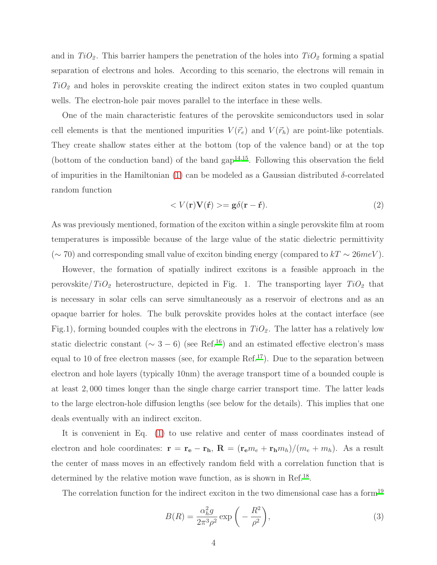and in  $TiO_2$ . This barrier hampers the penetration of the holes into  $TiO_2$  forming a spatial separation of electrons and holes. According to this scenario, the electrons will remain in  $TiO<sub>2</sub>$  and holes in perovskite creating the indirect exiton states in two coupled quantum wells. The electron-hole pair moves parallel to the interface in these wells.

One of the main characteristic features of the perovskite semiconductors used in solar cell elements is that the mentioned impurities  $V(\vec{r}_e)$  and  $V(\vec{r}_h)$  are point-like potentials. They create shallow states either at the bottom (top of the valence band) or at the top (bottom of the conduction band) of the band  $\text{gap}^{14,15}$  $\text{gap}^{14,15}$  $\text{gap}^{14,15}$  $\text{gap}^{14,15}$ . Following this observation the field of impurities in the Hamiltonian [\(1\)](#page-2-0) can be modeled as a Gaussian distributed  $\delta$ -correlated random function

$$
\langle V(\mathbf{r})\mathbf{V}(\mathbf{r}) \rangle = \mathbf{g}\delta(\mathbf{r} - \mathbf{r}).\tag{2}
$$

As was previously mentioned, formation of the exciton within a single perovskite film at room temperatures is impossible because of the large value of the static dielectric permittivity (∼70) and corresponding small value of exciton binding energy (compared to  $kT \sim 26meV$ ).

However, the formation of spatially indirect excitons is a feasible approach in the perovskite/ $TiO<sub>2</sub>$  heterostructure, depicted in Fig. 1. The transporting layer  $TiO<sub>2</sub>$  that is necessary in solar cells can serve simultaneously as a reservoir of electrons and as an opaque barrier for holes. The bulk perovskite provides holes at the contact interface (see Fig.1), forming bounded couples with the electrons in  $TiO<sub>2</sub>$ . The latter has a relatively low static dielectric constant ( $\sim 3 - 6$ ) (see Ref.<sup>[16](#page-7-7)</sup>) and an estimated effective electron's mass equal to 10 of free electron masses (see, for example Ref.<sup>[17](#page-7-8)</sup>). Due to the separation between electron and hole layers (typically 10nm) the average transport time of a bounded couple is at least 2, 000 times longer than the single charge carrier transport time. The latter leads to the large electron-hole diffusion lengths (see below for the details). This implies that one deals eventually with an indirect exciton.

It is convenient in Eq. [\(1\)](#page-2-0) to use relative and center of mass coordinates instead of electron and hole coordinates:  $\mathbf{r} = \mathbf{r_e} - \mathbf{r_h}$ ,  $\mathbf{R} = (\mathbf{r_e}m_e + \mathbf{r_h}m_h)/(m_e + m_h)$ . As a result the center of mass moves in an effectively random field with a correlation function that is determined by the relative motion wave function, as is shown in Ref.<sup>[18](#page-7-9)</sup>.

The correlation function for the indirect exciton in the two dimensional case has a form<sup>[19](#page-7-10)</sup>

<span id="page-3-0"></span>
$$
B(R) = \frac{\alpha_h^2 g}{2\pi^3 \rho^2} \exp\left(-\frac{R^2}{\rho^2}\right),\tag{3}
$$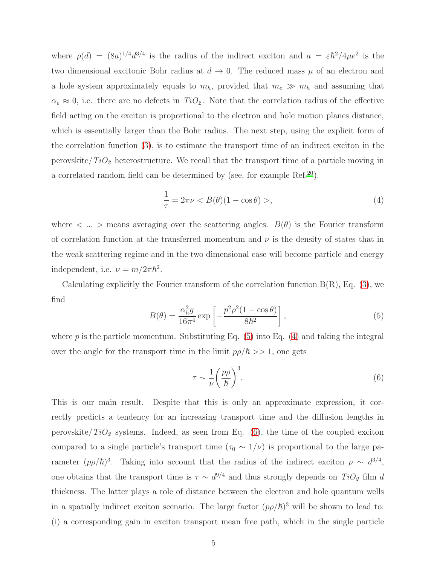where  $\rho(d) = (8a)^{1/4}d^{3/4}$  is the radius of the indirect exciton and  $a = \varepsilon \hbar^2/4\mu e^2$  is the two dimensional excitonic Bohr radius at  $d \to 0$ . The reduced mass  $\mu$  of an electron and a hole system approximately equals to  $m_h$ , provided that  $m_e \gg m_h$  and assuming that  $\alpha_e \approx 0$ , i.e. there are no defects in  $TiO_2$ . Note that the correlation radius of the effective field acting on the exciton is proportional to the electron and hole motion planes distance, which is essentially larger than the Bohr radius. The next step, using the explicit form of the correlation function [\(3\)](#page-3-0), is to estimate the transport time of an indirect exciton in the perovskite/ $TiO<sub>2</sub>$  heterostructure. We recall that the transport time of a particle moving in a correlated random field can be determined by (see, for example  $\text{Ref.}^{20}$  $\text{Ref.}^{20}$  $\text{Ref.}^{20}$ ).

<span id="page-4-1"></span>
$$
\frac{1}{\tau} = 2\pi\nu < B(\theta)(1 - \cos\theta) > \tag{4}
$$

where  $\langle \dots \rangle$  means averaging over the scattering angles.  $B(\theta)$  is the Fourier transform of correlation function at the transferred momentum and  $\nu$  is the density of states that in the weak scattering regime and in the two dimensional case will become particle and energy independent, i.e.  $\nu = m/2\pi\hbar^2$ .

Calculating explicitly the Fourier transform of the correlation function  $B(R)$ , Eq. [\(3\)](#page-3-0), we find

<span id="page-4-0"></span>
$$
B(\theta) = \frac{\alpha_h^2 g}{16\pi^4} \exp\left[-\frac{p^2 \rho^2 (1 - \cos \theta)}{8\hbar^2}\right],\tag{5}
$$

where  $p$  is the particle momentum. Substituting Eq. [\(5\)](#page-4-0) into Eq. [\(4\)](#page-4-1) and taking the integral over the angle for the transport time in the limit  $p\rho/\hbar >> 1$ , one gets

<span id="page-4-2"></span>
$$
\tau \sim \frac{1}{\nu} \left(\frac{p\rho}{\hbar}\right)^3. \tag{6}
$$

This is our main result. Despite that this is only an approximate expression, it correctly predicts a tendency for an increasing transport time and the diffusion lengths in perovskite/ $TiO<sub>2</sub>$  systems. Indeed, as seen from Eq. [\(6\)](#page-4-2), the time of the coupled exciton compared to a single particle's transport time  $(\tau_0 \sim 1/\nu)$  is proportional to the large parameter  $(p\rho/\hbar)^3$ . Taking into account that the radius of the indirect exciton  $\rho \sim d^{3/4}$ , one obtains that the transport time is  $\tau \sim d^{9/4}$  and thus strongly depends on  $TiO_2$  film d thickness. The latter plays a role of distance between the electron and hole quantum wells in a spatially indirect exciton scenario. The large factor  $(p\rho/\hbar)^3$  will be shown to lead to: (i) a corresponding gain in exciton transport mean free path, which in the single particle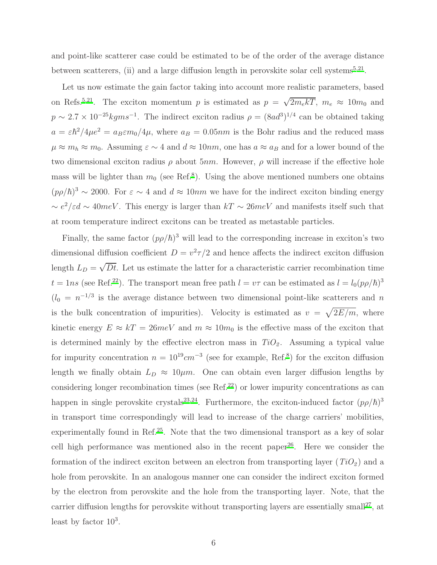and point-like scatterer case could be estimated to be of the order of the average distance between scatterers, (ii) and a large diffusion length in perovskite solar cell systems<sup>[5](#page-6-4)[,21](#page-7-12)</sup>.

Let us now estimate the gain factor taking into account more realistic parameters, based on Refs.<sup>[5](#page-6-4)[,21](#page-7-12)</sup>. The exciton momentum p is estimated as  $p = \sqrt{2m_e kT}$ ,  $m_e \approx 10m_0$  and  $p \sim 2.7 \times 10^{-25} \text{kgms}^{-1}$ . The indirect exciton radius  $\rho = (8ad^3)^{1/4}$  can be obtained taking  $a = \varepsilon \hbar^2/4\mu e^2 = a_B \varepsilon m_0/4\mu$ , where  $a_B = 0.05nm$  is the Bohr radius and the reduced mass  $\mu \approx m_h \approx m_0$ . Assuming  $\varepsilon \sim 4$  and  $d \approx 10nm$ , one has  $a \approx a_B$  and for a lower bound of the two dimensional exciton radius  $\rho$  about 5nm. However,  $\rho$  will increase if the effective hole mass will be lighter than  $m_0$  (see Ref.<sup>[8](#page-6-7)</sup>). Using the above mentioned numbers one obtains  $(p\rho/\hbar)^3 \sim 2000$ . For  $\varepsilon \sim 4$  and  $d \approx 10nm$  we have for the indirect exciton binding energy  $\sim e^2/\varepsilon d \sim 40meV$ . This energy is larger than  $kT \sim 26meV$  and manifests itself such that at room temperature indirect excitons can be treated as metastable particles.

Finally, the same factor  $(p\rho/\hbar)^3$  will lead to the corresponding increase in exciton's two dimensional diffusion coefficient  $D = v^2 \tau/2$  and hence affects the indirect exciton diffusion length  $L_D = \sqrt{Dt}$ . Let us estimate the latter for a characteristic carrier recombination time  $t = \ln s$  (see Ref.<sup>[22](#page-7-13)</sup>). The transport mean free path  $l = v\tau$  can be estimated as  $l = l_0 (p\rho/\hbar)^3$  $(l_0 = n^{-1/3}$  is the average distance between two dimensional point-like scatterers and n is the bulk concentration of impurities). Velocity is estimated as  $v = \sqrt{2E/m}$ , where kinetic energy  $E \approx kT = 26meV$  and  $m \approx 10m_0$  is the effective mass of the exciton that is determined mainly by the effective electron mass in  $TiO<sub>2</sub>$ . Assuming a typical value for impurity concentration  $n = 10^{19} cm^{-3}$  (see for example, Ref[.](#page-6-7)<sup>8</sup>) for the exciton diffusion length we finally obtain  $L_D \approx 10 \mu m$ . One can obtain even larger diffusion lengths by considering longer recombination times (see Ref.<sup>[22](#page-7-13)</sup>) or lower impurity concentrations as can happen in single perovskite crystals<sup>[23](#page-7-14)[,24](#page-7-15)</sup>. Furthermore, the exciton-induced factor  $(p\rho/\hbar)^3$ in transport time correspondingly will lead to increase of the charge carriers' mobilities, experimentally found in Ref.[25](#page-7-16). Note that the two dimensional transport as a key of solar cell high performance was mentioned also in the recent paper<sup>[26](#page-7-17)</sup>. Here we consider the formation of the indirect exciton between an electron from transporting layer  $(T_iO_2)$  and a hole from perovskite. In an analogous manner one can consider the indirect exciton formed by the electron from perovskite and the hole from the transporting layer. Note, that the carrier diffusion lengths for perovskite without transporting layers are essentially small<sup>[27](#page-8-0)</sup>, at least by factor  $10^3$ .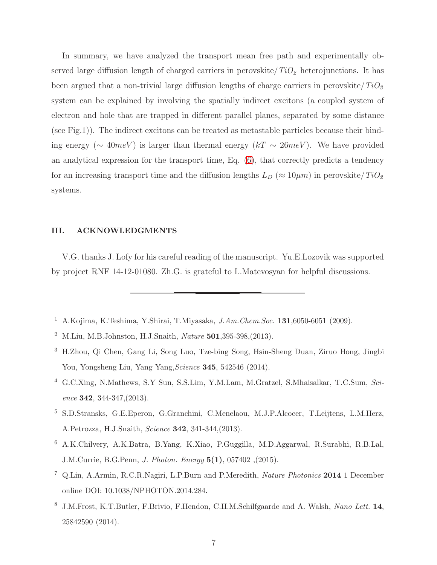In summary, we have analyzed the transport mean free path and experimentally observed large diffusion length of charged carriers in perovskite/ $TiO<sub>2</sub>$  heterojunctions. It has been argued that a non-trivial large diffusion lengths of charge carriers in perovskite/ $TiO<sub>2</sub>$ system can be explained by involving the spatially indirect excitons (a coupled system of electron and hole that are trapped in different parallel planes, separated by some distance (see Fig.1)). The indirect excitons can be treated as metastable particles because their binding energy ( $\sim 40meV$ ) is larger than thermal energy (kT  $\sim 26meV$ ). We have provided an analytical expression for the transport time, Eq. [\(6\)](#page-4-2), that correctly predicts a tendency for an increasing transport time and the diffusion lengths  $L_D \approx 10 \mu m$ ) in perovskite/ $TiO_2$ systems.

#### III. ACKNOWLEDGMENTS

V.G. thanks J. Lofy for his careful reading of the manuscript. Yu.E.Lozovik was supported by project RNF 14-12-01080. Zh.G. is grateful to L.Matevosyan for helpful discussions.

- <span id="page-6-0"></span><sup>1</sup> A.Kojima, K.Teshima, Y.Shirai, T.Miyasaka,  $J.Am.Chem.Soc.$  **131**,6050-6051 (2009).
- <span id="page-6-1"></span><sup>2</sup> M.Liu, M.B.Johnston, H.J.Snaith, Nature 501,395-398,(2013).
- <span id="page-6-2"></span><sup>3</sup> H.Zhou, Qi Chen, Gang Li, Song Luo, Tze-bing Song, Hsin-Sheng Duan, Ziruo Hong, Jingbi You, Yongsheng Liu, Yang Yang, Science 345, 542546 (2014).
- <span id="page-6-3"></span><sup>4</sup> G.C.Xing, N.Mathews, S.Y Sun, S.S.Lim, Y.M.Lam, M.Gratzel, S.Mhaisalkar, T.C.Sum, Science 342, 344-347,(2013).
- <span id="page-6-4"></span><sup>5</sup> S.D.Stransks, G.E.Eperon, G.Granchini, C.Menelaou, M.J.P.Alcocer, T.Leijtens, L.M.Herz, A.Petrozza, H.J.Snaith, Science 342, 341-344,(2013).
- <span id="page-6-5"></span><sup>6</sup> A.K.Chilvery, A.K.Batra, B.Yang, K.Xiao, P.Guggilla, M.D.Aggarwal, R.Surabhi, R.B.Lal, J.M.Currie, B.G.Penn, J. Photon. Energy 5(1), 057402 ,(2015).
- <span id="page-6-6"></span><sup>7</sup> Q.Lin, A.Armin, R.C.R.Nagiri, L.P.Burn and P.Meredith, Nature Photonics 2014 1 December online DOI: 10.1038/NPHOTON.2014.284.
- <span id="page-6-7"></span><sup>8</sup> J.M.Frost, K.T.Butler, F.Brivio, F.Hendon, C.H.M.Schilfgaarde and A. Walsh, Nano Lett. 14, 25842590 (2014).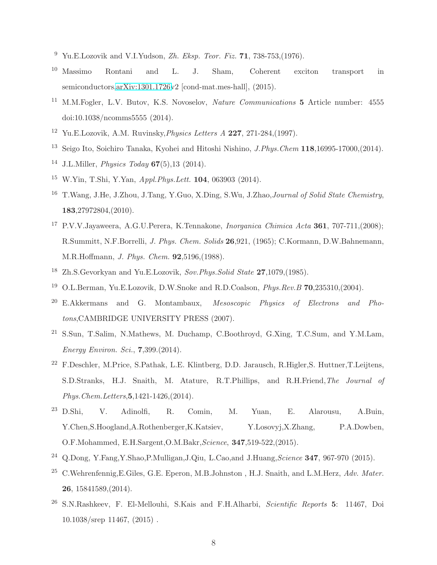- <span id="page-7-0"></span><sup>9</sup> Yu.E.Lozovik and V.I.Yudson, Zh. Eksp. Teor. Fiz. **71**, 738-753, (1976).
- <span id="page-7-1"></span><sup>10</sup> Massimo Rontani and L. J. Sham, Coherent exciton transport in semiconductors[,arXiv:1301.1726v](http://arxiv.org/abs/1301.1726)2 [cond-mat.mes-hall], (2015).
- <span id="page-7-2"></span><sup>11</sup> M.M.Fogler, L.V. Butov, K.S. Novoselov, *Nature Communications* 5 Article number: 4555 doi:10.1038/ncomms5555 (2014).
- <span id="page-7-3"></span><sup>12</sup> Yu.E.Lozovik, A.M. Ruvinsky, *Physics Letters A* 227, 271-284, (1997).
- <span id="page-7-4"></span><sup>13</sup> Seigo Ito, Soichiro Tanaka, Kyohei and Hitoshi Nishino, *J.Phys.Chem* 118,16995-17000, (2014).
- <span id="page-7-5"></span><sup>14</sup> J.L.Miller, *Physics Today*  $67(5)$ , 13 (2014).
- <span id="page-7-6"></span> $15$  W.Yin, T.Shi, Y.Yan, Appl. Phys. Lett. **104**, 063903 (2014).
- <span id="page-7-7"></span><sup>16</sup> T. Wang, J.He, J. Zhou, J. Tang, Y. Guo, X. Ding, S. Wu, J. Zhao, *Journal of Solid State Chemistry*, 183,27972804,(2010).
- <span id="page-7-8"></span><sup>17</sup> P.V.V.Jayaweera, A.G.U.Perera, K.Tennakone, *Inorganica Chimica Acta* 361, 707-711, (2008); R.Summitt, N.F.Borrelli, J. Phys. Chem. Solids 26,921, (1965); C.Kormann, D.W.Bahnemann, M.R.Hoffmann, J. Phys. Chem. 92,5196,(1988).
- <span id="page-7-9"></span><sup>18</sup> Zh.S.Gevorkyan and Yu.E.Lozovik,  $Sov. Phys. Solid State$  **27**,1079.(1985).
- <span id="page-7-10"></span><sup>19</sup> O.L.Berman, Yu.E.Lozovik, D.W.Snoke and R.D.Coalson, *Phys.Rev.B*  $70.235310,(2004)$ .
- <span id="page-7-11"></span> $20$  E.Akkermans and G. Montambaux, Mesoscopic Physics of Electrons and Photons,CAMBRIDGE UNIVERSITY PRESS (2007).
- <span id="page-7-12"></span><sup>21</sup> S.Sun, T.Salim, N.Mathews, M. Duchamp, C.Boothroyd, G.Xing, T.C.Sum, and Y.M.Lam, Energy Environ. Sci., 7,399.(2014).
- <span id="page-7-13"></span><sup>22</sup> F.Deschler, M.Price, S.Pathak, L.E. Klintberg, D.D. Jarausch, R.Higler,S. Huttner,T.Leijtens, S.D.Stranks, H.J. Snaith, M. Atature, R.T.Phillips, and R.H.Friend,The Journal of Phys.Chem.Letters,5,1421-1426,(2014).
- <span id="page-7-14"></span><sup>23</sup> D.Shi, V. Adinolfi, R. Comin, M. Yuan, E. Alarousu, A.Buin, Y.Chen,S.Hoogland,A.Rothenberger,K.Katsiev, Y.Losovyj,X.Zhang, P.A.Dowben, O.F.Mohammed, E.H.Sargent,O.M.Bakr,Science, 347,519-522,(2015).
- <span id="page-7-15"></span><sup>24</sup> Q.Dong, Y.Fang, Y.Shao, P.Mulligan, J.Qiu, L.Cao, and J.Huang, *Science* **347**, 967-970 (2015).
- <span id="page-7-16"></span><sup>25</sup> C.Wehrenfennig,E.Giles, G.E. Eperon, M.B.Johnston, H.J. Snaith, and L.M.Herz, Adv. Mater. 26, 15841589,(2014).
- <span id="page-7-17"></span><sup>26</sup> S.N.Rashkeev, F. El-Mellouhi, S.Kais and F.H.Alharbi, Scientific Reports 5: 11467, Doi 10.1038/srep 11467, (2015) .